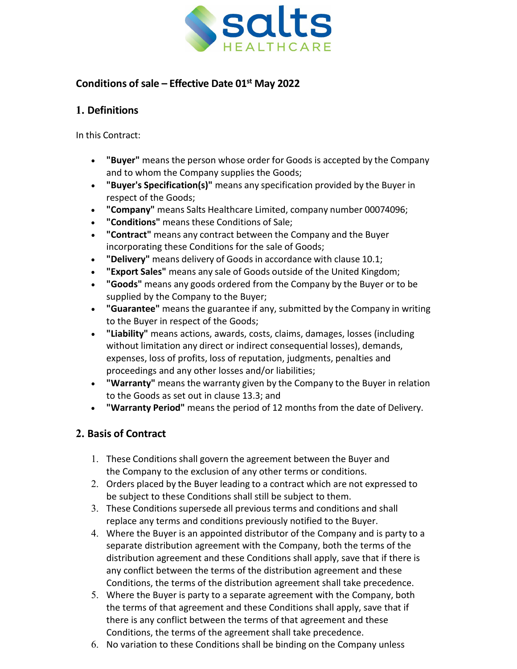

# **Conditions of sale – Effective Date 01st May 2022**

## **1. Definitions**

In this Contract:

- **"Buyer"** means the person whose order for Goods is accepted by the Company and to whom the Company supplies the Goods;
- **"Buyer's Specification(s)"** means any specification provided by the Buyer in respect of the Goods;
- **"Company"** means Salts Healthcare Limited, company number 00074096;
- **"Conditions"** means these Conditions of Sale;
- **"Contract"** means any contract between the Company and the Buyer incorporating these Conditions for the sale of Goods;
- **"Delivery"** means delivery of Goods in accordance with clause 10.1;
- **"Export Sales"** means any sale of Goods outside of the United Kingdom;
- **"Goods"** means any goods ordered from the Company by the Buyer or to be supplied by the Company to the Buyer;
- **"Guarantee"** means the guarantee if any, submitted by the Company in writing to the Buyer in respect of the Goods;
- **"Liability"** means actions, awards, costs, claims, damages, losses (including without limitation any direct or indirect consequential losses), demands, expenses, loss of profits, loss of reputation, judgments, penalties and proceedings and any other losses and/or liabilities;
- **"Warranty"** means the warranty given by the Company to the Buyer in relation to the Goods as set out in clause 13.3; and
- **"Warranty Period"** means the period of 12 months from the date of Delivery.

# **2. Basis of Contract**

- 1. These Conditions shall govern the agreement between the Buyer and the Company to the exclusion of any other terms or conditions.
- 2. Orders placed by the Buyer leading to a contract which are not expressed to be subject to these Conditions shall still be subject to them.
- 3. These Conditions supersede all previous terms and conditions and shall replace any terms and conditions previously notified to the Buyer.
- 4. Where the Buyer is an appointed distributor of the Company and is party to a separate distribution agreement with the Company, both the terms of the distribution agreement and these Conditions shall apply, save that if there is any conflict between the terms of the distribution agreement and these Conditions, the terms of the distribution agreement shall take precedence.
- 5. Where the Buyer is party to a separate agreement with the Company, both the terms of that agreement and these Conditions shall apply, save that if there is any conflict between the terms of that agreement and these Conditions, the terms of the agreement shall take precedence.
- 6. No variation to these Conditions shall be binding on the Company unless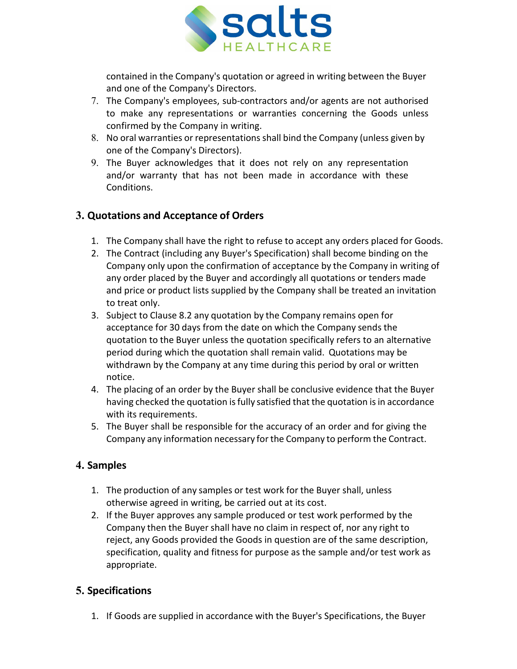

contained in the Company's quotation or agreed in writing between the Buyer and one of the Company's Directors.

- 7. The Company's employees, sub-contractors and/or agents are not authorised to make any representations or warranties concerning the Goods unless confirmed by the Company in writing.
- 8. No oral warranties or representations shall bind the Company (unless given by one of the Company's Directors).
- 9. The Buyer acknowledges that it does not rely on any representation and/or warranty that has not been made in accordance with these Conditions.

## **3. Quotations and Acceptance of Orders**

- 1. The Company shall have the right to refuse to accept any orders placed for Goods.
- 2. The Contract (including any Buyer's Specification) shall become binding on the Company only upon the confirmation of acceptance by the Company in writing of any order placed by the Buyer and accordingly all quotations or tenders made and price or product lists supplied by the Company shall be treated an invitation to treat only.
- 3. Subject to Clause 8.2 any quotation by the Company remains open for acceptance for 30 days from the date on which the Company sends the quotation to the Buyer unless the quotation specifically refers to an alternative period during which the quotation shall remain valid. Quotations may be withdrawn by the Company at any time during this period by oral or written notice.
- 4. The placing of an order by the Buyer shall be conclusive evidence that the Buyer having checked the quotation is fully satisfied that the quotation is in accordance with its requirements.
- 5. The Buyer shall be responsible for the accuracy of an order and for giving the Company any information necessary for the Company to perform the Contract.

# **4. Samples**

- 1. The production of any samples or test work for the Buyer shall, unless otherwise agreed in writing, be carried out at its cost.
- 2. If the Buyer approves any sample produced or test work performed by the Company then the Buyer shall have no claim in respect of, nor any right to reject, any Goods provided the Goods in question are of the same description, specification, quality and fitness for purpose as the sample and/or test work as appropriate.

# **5. Specifications**

1. If Goods are supplied in accordance with the Buyer's Specifications, the Buyer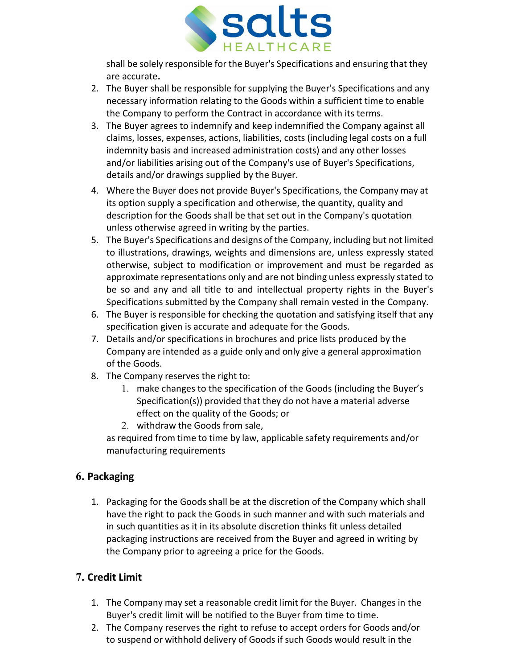

shall be solely responsible for the Buyer's Specifications and ensuring that they are accurate**.**

- 2. The Buyer shall be responsible for supplying the Buyer's Specifications and any necessary information relating to the Goods within a sufficient time to enable the Company to perform the Contract in accordance with its terms.
- 3. The Buyer agrees to indemnify and keep indemnified the Company against all claims, losses, expenses, actions, liabilities, costs (including legal costs on a full indemnity basis and increased administration costs) and any other losses and/or liabilities arising out of the Company's use of Buyer's Specifications, details and/or drawings supplied by the Buyer.
- 4. Where the Buyer does not provide Buyer's Specifications, the Company may at its option supply a specification and otherwise, the quantity, quality and description for the Goods shall be that set out in the Company's quotation unless otherwise agreed in writing by the parties.
- 5. The Buyer's Specifications and designs of the Company, including but not limited to illustrations, drawings, weights and dimensions are, unless expressly stated otherwise, subject to modification or improvement and must be regarded as approximate representations only and are not binding unless expressly stated to be so and any and all title to and intellectual property rights in the Buyer's Specifications submitted by the Company shall remain vested in the Company.
- 6. The Buyer is responsible for checking the quotation and satisfying itself that any specification given is accurate and adequate for the Goods.
- 7. Details and/or specifications in brochures and price lists produced by the Company are intended as a guide only and only give a general approximation of the Goods.
- 8. The Company reserves the right to:
	- 1. make changes to the specification of the Goods (including the Buyer's Specification(s)) provided that they do not have a material adverse effect on the quality of the Goods; or
	- 2. withdraw the Goods from sale,

as required from time to time by law, applicable safety requirements and/or manufacturing requirements

# **6. Packaging**

1. Packaging for the Goods shall be at the discretion of the Company which shall have the right to pack the Goods in such manner and with such materials and in such quantities as it in its absolute discretion thinks fit unless detailed packaging instructions are received from the Buyer and agreed in writing by the Company prior to agreeing a price for the Goods.

# **7. Credit Limit**

- 1. The Company may set a reasonable credit limit for the Buyer. Changes in the Buyer's credit limit will be notified to the Buyer from time to time.
- 2. The Company reserves the right to refuse to accept orders for Goods and/or to suspend or withhold delivery of Goods if such Goods would result in the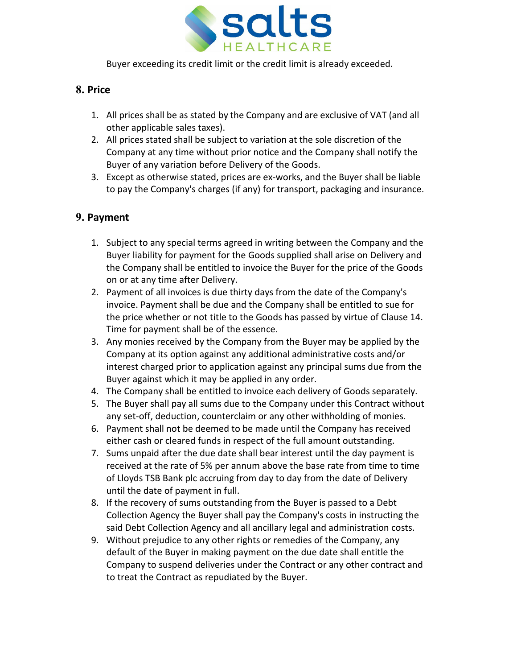

Buyer exceeding its credit limit or the credit limit is already exceeded.

## **8. Price**

- 1. All prices shall be as stated by the Company and are exclusive of VAT (and all other applicable sales taxes).
- 2. All prices stated shall be subject to variation at the sole discretion of the Company at any time without prior notice and the Company shall notify the Buyer of any variation before Delivery of the Goods.
- 3. Except as otherwise stated, prices are ex-works, and the Buyer shall be liable to pay the Company's charges (if any) for transport, packaging and insurance.

## **9. Payment**

- 1. Subject to any special terms agreed in writing between the Company and the Buyer liability for payment for the Goods supplied shall arise on Delivery and the Company shall be entitled to invoice the Buyer for the price of the Goods on or at any time after Delivery.
- 2. Payment of all invoices is due thirty days from the date of the Company's invoice. Payment shall be due and the Company shall be entitled to sue for the price whether or not title to the Goods has passed by virtue of Clause 14. Time for payment shall be of the essence.
- 3. Any monies received by the Company from the Buyer may be applied by the Company at its option against any additional administrative costs and/or interest charged prior to application against any principal sums due from the Buyer against which it may be applied in any order.
- 4. The Company shall be entitled to invoice each delivery of Goods separately.
- 5. The Buyer shall pay all sums due to the Company under this Contract without any set-off, deduction, counterclaim or any other withholding of monies.
- 6. Payment shall not be deemed to be made until the Company has received either cash or cleared funds in respect of the full amount outstanding.
- 7. Sums unpaid after the due date shall bear interest until the day payment is received at the rate of 5% per annum above the base rate from time to time of Lloyds TSB Bank plc accruing from day to day from the date of Delivery until the date of payment in full.
- 8. If the recovery of sums outstanding from the Buyer is passed to a Debt Collection Agency the Buyer shall pay the Company's costs in instructing the said Debt Collection Agency and all ancillary legal and administration costs.
- 9. Without prejudice to any other rights or remedies of the Company, any default of the Buyer in making payment on the due date shall entitle the Company to suspend deliveries under the Contract or any other contract and to treat the Contract as repudiated by the Buyer.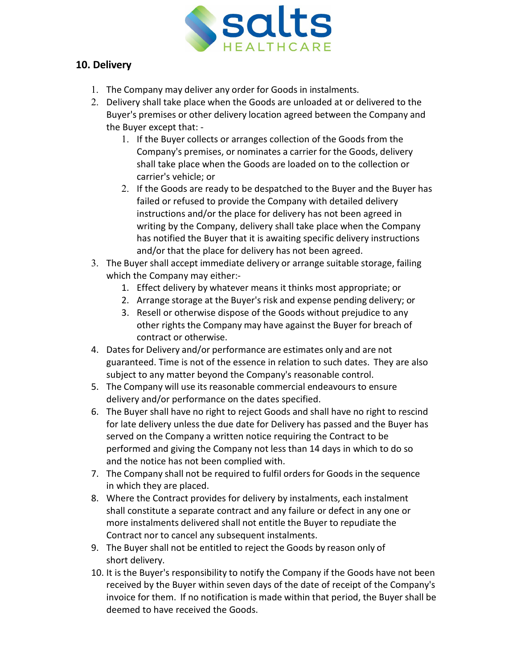

## **10. Delivery**

- 1. The Company may deliver any order for Goods in instalments.
- 2. Delivery shall take place when the Goods are unloaded at or delivered to the Buyer's premises or other delivery location agreed between the Company and the Buyer except that: -
	- 1. If the Buyer collects or arranges collection of the Goods from the Company's premises, or nominates a carrier for the Goods, delivery shall take place when the Goods are loaded on to the collection or carrier's vehicle; or
	- 2. If the Goods are ready to be despatched to the Buyer and the Buyer has failed or refused to provide the Company with detailed delivery instructions and/or the place for delivery has not been agreed in writing by the Company, delivery shall take place when the Company has notified the Buyer that it is awaiting specific delivery instructions and/or that the place for delivery has not been agreed.
- 3. The Buyer shall accept immediate delivery or arrange suitable storage, failing which the Company may either:-
	- 1. Effect delivery by whatever means it thinks most appropriate; or
	- 2. Arrange storage at the Buyer's risk and expense pending delivery; or
	- 3. Resell or otherwise dispose of the Goods without prejudice to any other rights the Company may have against the Buyer for breach of contract or otherwise.
- 4. Dates for Delivery and/or performance are estimates only and are not guaranteed. Time is not of the essence in relation to such dates. They are also subject to any matter beyond the Company's reasonable control.
- 5. The Company will use its reasonable commercial endeavours to ensure delivery and/or performance on the dates specified.
- 6. The Buyer shall have no right to reject Goods and shall have no right to rescind for late delivery unless the due date for Delivery has passed and the Buyer has served on the Company a written notice requiring the Contract to be performed and giving the Company not less than 14 days in which to do so and the notice has not been complied with.
- 7. The Company shall not be required to fulfil orders for Goods in the sequence in which they are placed.
- 8. Where the Contract provides for delivery by instalments, each instalment shall constitute a separate contract and any failure or defect in any one or more instalments delivered shall not entitle the Buyer to repudiate the Contract nor to cancel any subsequent instalments.
- 9. The Buyer shall not be entitled to reject the Goods by reason only of short delivery.
- 10. It is the Buyer's responsibility to notify the Company if the Goods have not been received by the Buyer within seven days of the date of receipt of the Company's invoice for them. If no notification is made within that period, the Buyer shall be deemed to have received the Goods.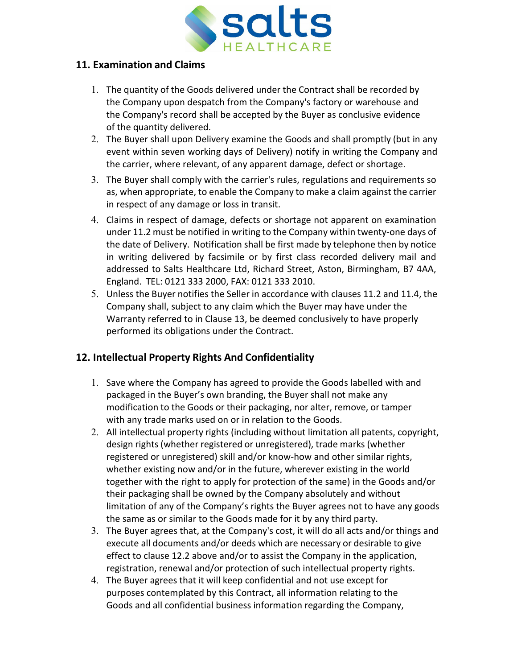

#### **11. Examination and Claims**

- 1. The quantity of the Goods delivered under the Contract shall be recorded by the Company upon despatch from the Company's factory or warehouse and the Company's record shall be accepted by the Buyer as conclusive evidence of the quantity delivered.
- 2. The Buyer shall upon Delivery examine the Goods and shall promptly (but in any event within seven working days of Delivery) notify in writing the Company and the carrier, where relevant, of any apparent damage, defect or shortage.
- 3. The Buyer shall comply with the carrier's rules, regulations and requirements so as, when appropriate, to enable the Company to make a claim against the carrier in respect of any damage or loss in transit.
- 4. Claims in respect of damage, defects or shortage not apparent on examination under 11.2 must be notified in writing to the Company within twenty-one days of the date of Delivery. Notification shall be first made by telephone then by notice in writing delivered by facsimile or by first class recorded delivery mail and addressed to Salts Healthcare Ltd, Richard Street, Aston, Birmingham, B7 4AA, England. TEL: 0121 333 2000, FAX: 0121 333 2010.
- 5. Unless the Buyer notifies the Seller in accordance with clauses 11.2 and 11.4, the Company shall, subject to any claim which the Buyer may have under the Warranty referred to in Clause 13, be deemed conclusively to have properly performed its obligations under the Contract.

### **12. Intellectual Property Rights And Confidentiality**

- 1. Save where the Company has agreed to provide the Goods labelled with and packaged in the Buyer's own branding, the Buyer shall not make any modification to the Goods or their packaging, nor alter, remove, or tamper with any trade marks used on or in relation to the Goods.
- 2. All intellectual property rights (including without limitation all patents, copyright, design rights (whether registered or unregistered), trade marks (whether registered or unregistered) skill and/or know-how and other similar rights, whether existing now and/or in the future, wherever existing in the world together with the right to apply for protection of the same) in the Goods and/or their packaging shall be owned by the Company absolutely and without limitation of any of the Company's rights the Buyer agrees not to have any goods the same as or similar to the Goods made for it by any third party.
- 3. The Buyer agrees that, at the Company's cost, it will do all acts and/or things and execute all documents and/or deeds which are necessary or desirable to give effect to clause 12.2 above and/or to assist the Company in the application, registration, renewal and/or protection of such intellectual property rights.
- 4. The Buyer agrees that it will keep confidential and not use except for purposes contemplated by this Contract, all information relating to the Goods and all confidential business information regarding the Company,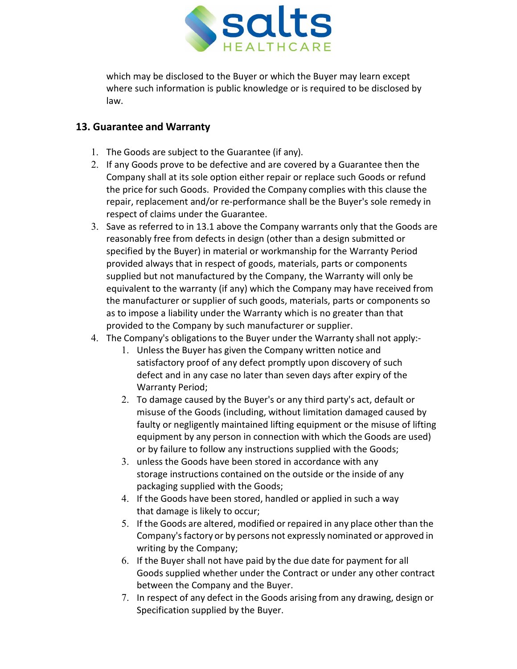

which may be disclosed to the Buyer or which the Buyer may learn except where such information is public knowledge or is required to be disclosed by law.

### **13. Guarantee and Warranty**

- 1. The Goods are subject to the Guarantee (if any).
- 2. If any Goods prove to be defective and are covered by a Guarantee then the Company shall at its sole option either repair or replace such Goods or refund the price for such Goods. Provided the Company complies with this clause the repair, replacement and/or re-performance shall be the Buyer's sole remedy in respect of claims under the Guarantee.
- 3. Save as referred to in 13.1 above the Company warrants only that the Goods are reasonably free from defects in design (other than a design submitted or specified by the Buyer) in material or workmanship for the Warranty Period provided always that in respect of goods, materials, parts or components supplied but not manufactured by the Company, the Warranty will only be equivalent to the warranty (if any) which the Company may have received from the manufacturer or supplier of such goods, materials, parts or components so as to impose a liability under the Warranty which is no greater than that provided to the Company by such manufacturer or supplier.
- 4. The Company's obligations to the Buyer under the Warranty shall not apply:-
	- 1. Unless the Buyer has given the Company written notice and satisfactory proof of any defect promptly upon discovery of such defect and in any case no later than seven days after expiry of the Warranty Period;
	- 2. To damage caused by the Buyer's or any third party's act, default or misuse of the Goods (including, without limitation damaged caused by faulty or negligently maintained lifting equipment or the misuse of lifting equipment by any person in connection with which the Goods are used) or by failure to follow any instructions supplied with the Goods;
	- 3. unless the Goods have been stored in accordance with any storage instructions contained on the outside or the inside of any packaging supplied with the Goods;
	- 4. If the Goods have been stored, handled or applied in such a way that damage is likely to occur;
	- 5. If the Goods are altered, modified or repaired in any place other than the Company'sfactory or by persons not expressly nominated or approved in writing by the Company;
	- 6. If the Buyer shall not have paid by the due date for payment for all Goods supplied whether under the Contract or under any other contract between the Company and the Buyer.
	- 7. In respect of any defect in the Goods arising from any drawing, design or Specification supplied by the Buyer.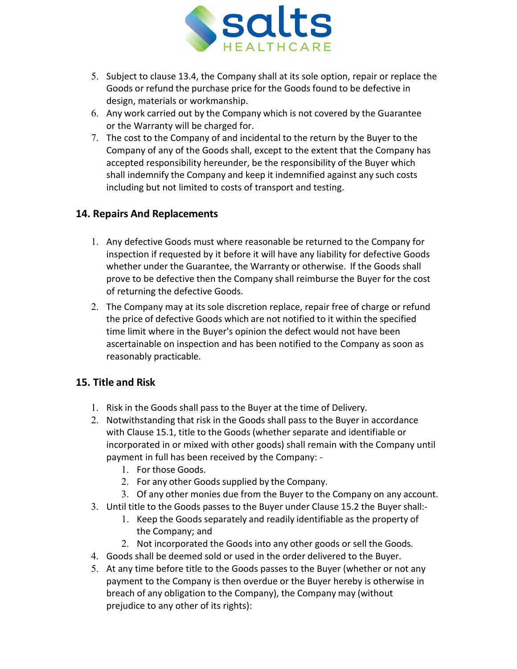

- 5. Subject to clause 13.4, the Company shall at its sole option, repair or replace the Goods or refund the purchase price for the Goods found to be defective in design, materials or workmanship.
- 6. Any work carried out by the Company which is not covered by the Guarantee or the Warranty will be charged for.
- 7. The cost to the Company of and incidental to the return by the Buyer to the Company of any of the Goods shall, except to the extent that the Company has accepted responsibility hereunder, be the responsibility of the Buyer which shall indemnify the Company and keep it indemnified against any such costs including but not limited to costs of transport and testing.

### **14. Repairs And Replacements**

- 1. Any defective Goods must where reasonable be returned to the Company for inspection if requested by it before it will have any liability for defective Goods whether under the Guarantee, the Warranty or otherwise. If the Goods shall prove to be defective then the Company shall reimburse the Buyer for the cost of returning the defective Goods.
- 2. The Company may at its sole discretion replace, repair free of charge or refund the price of defective Goods which are not notified to it within the specified time limit where in the Buyer's opinion the defect would not have been ascertainable on inspection and has been notified to the Company as soon as reasonably practicable.

# **15. Title and Risk**

- 1. Risk in the Goods shall pass to the Buyer at the time of Delivery.
- 2. Notwithstanding that risk in the Goods shall pass to the Buyer in accordance with Clause 15.1, title to the Goods (whether separate and identifiable or incorporated in or mixed with other goods) shall remain with the Company until payment in full has been received by the Company: -
	- 1. For those Goods.
	- 2. For any other Goods supplied by the Company.
	- 3. Of any other monies due from the Buyer to the Company on any account.
- 3. Until title to the Goods passes to the Buyer under Clause 15.2 the Buyer shall:-
	- 1. Keep the Goods separately and readily identifiable as the property of the Company; and
	- 2. Not incorporated the Goods into any other goods or sell the Goods.
- 4. Goods shall be deemed sold or used in the order delivered to the Buyer.
- 5. At any time before title to the Goods passes to the Buyer (whether or not any payment to the Company is then overdue or the Buyer hereby is otherwise in breach of any obligation to the Company), the Company may (without prejudice to any other of its rights):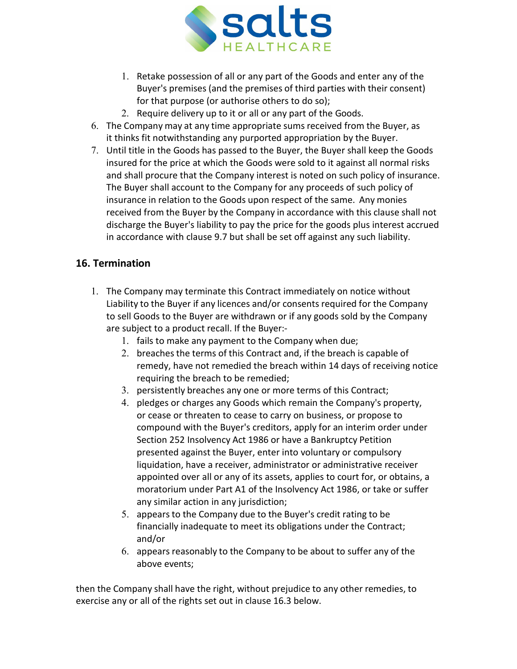

- 1. Retake possession of all or any part of the Goods and enter any of the Buyer's premises (and the premises of third parties with their consent) for that purpose (or authorise others to do so);
- 2. Require delivery up to it or all or any part of the Goods.
- 6. The Company may at any time appropriate sums received from the Buyer, as it thinks fit notwithstanding any purported appropriation by the Buyer.
- 7. Until title in the Goods has passed to the Buyer, the Buyer shall keep the Goods insured for the price at which the Goods were sold to it against all normal risks and shall procure that the Company interest is noted on such policy of insurance. The Buyer shall account to the Company for any proceeds of such policy of insurance in relation to the Goods upon respect of the same. Any monies received from the Buyer by the Company in accordance with this clause shall not discharge the Buyer's liability to pay the price for the goods plus interest accrued in accordance with clause 9.7 but shall be set off against any such liability.

## **16. Termination**

- 1. The Company may terminate this Contract immediately on notice without Liability to the Buyer if any licences and/or consents required for the Company to sell Goods to the Buyer are withdrawn or if any goods sold by the Company are subject to a product recall. If the Buyer:-
	- 1. fails to make any payment to the Company when due;
	- 2. breaches the terms of this Contract and, if the breach is capable of remedy, have not remedied the breach within 14 days of receiving notice requiring the breach to be remedied;
	- 3. persistently breaches any one or more terms of this Contract;
	- 4. pledges or charges any Goods which remain the Company's property, or cease or threaten to cease to carry on business, or propose to compound with the Buyer's creditors, apply for an interim order under Section 252 Insolvency Act 1986 or have a Bankruptcy Petition presented against the Buyer, enter into voluntary or compulsory liquidation, have a receiver, administrator or administrative receiver appointed over all or any of its assets, applies to court for, or obtains, a moratorium under Part A1 of the Insolvency Act 1986, or take or suffer any similar action in any jurisdiction;
	- 5. appears to the Company due to the Buyer's credit rating to be financially inadequate to meet its obligations under the Contract; and/or
	- 6. appears reasonably to the Company to be about to suffer any of the above events;

then the Company shall have the right, without prejudice to any other remedies, to exercise any or all of the rights set out in clause 16.3 below.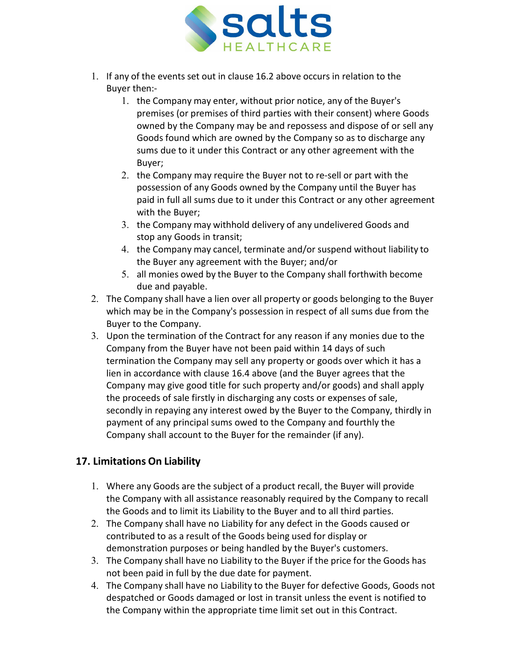

- 1. If any of the events set out in clause 16.2 above occurs in relation to the Buyer then:-
	- 1. the Company may enter, without prior notice, any of the Buyer's premises (or premises of third parties with their consent) where Goods owned by the Company may be and repossess and dispose of or sell any Goods found which are owned by the Company so as to discharge any sums due to it under this Contract or any other agreement with the Buyer;
	- 2. the Company may require the Buyer not to re-sell or part with the possession of any Goods owned by the Company until the Buyer has paid in full all sums due to it under this Contract or any other agreement with the Buyer;
	- 3. the Company may withhold delivery of any undelivered Goods and stop any Goods in transit;
	- 4. the Company may cancel, terminate and/or suspend without liability to the Buyer any agreement with the Buyer; and/or
	- 5. all monies owed by the Buyer to the Company shall forthwith become due and payable.
- 2. The Company shall have a lien over all property or goods belonging to the Buyer which may be in the Company's possession in respect of all sums due from the Buyer to the Company.
- 3. Upon the termination of the Contract for any reason if any monies due to the Company from the Buyer have not been paid within 14 days of such termination the Company may sell any property or goods over which it has a lien in accordance with clause 16.4 above (and the Buyer agrees that the Company may give good title for such property and/or goods) and shall apply the proceeds of sale firstly in discharging any costs or expenses of sale, secondly in repaying any interest owed by the Buyer to the Company, thirdly in payment of any principal sums owed to the Company and fourthly the Company shall account to the Buyer for the remainder (if any).

# **17. Limitations On Liability**

- 1. Where any Goods are the subject of a product recall, the Buyer will provide the Company with all assistance reasonably required by the Company to recall the Goods and to limit its Liability to the Buyer and to all third parties.
- 2. The Company shall have no Liability for any defect in the Goods caused or contributed to as a result of the Goods being used for display or demonstration purposes or being handled by the Buyer's customers.
- 3. The Company shall have no Liability to the Buyer if the price for the Goods has not been paid in full by the due date for payment.
- 4. The Company shall have no Liability to the Buyer for defective Goods, Goods not despatched or Goods damaged or lost in transit unless the event is notified to the Company within the appropriate time limit set out in this Contract.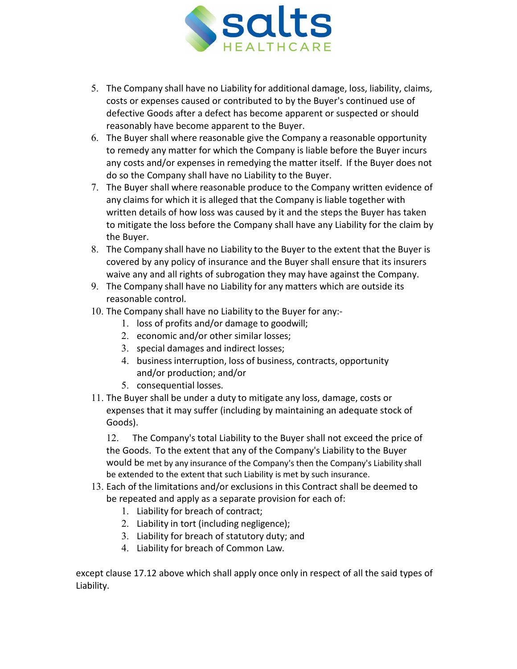

- 5. The Company shall have no Liability for additional damage, loss, liability, claims, costs or expenses caused or contributed to by the Buyer's continued use of defective Goods after a defect has become apparent or suspected or should reasonably have become apparent to the Buyer.
- 6. The Buyer shall where reasonable give the Company a reasonable opportunity to remedy any matter for which the Company is liable before the Buyer incurs any costs and/or expenses in remedying the matter itself. If the Buyer does not do so the Company shall have no Liability to the Buyer.
- 7. The Buyer shall where reasonable produce to the Company written evidence of any claims for which it is alleged that the Company is liable together with written details of how loss was caused by it and the steps the Buyer has taken to mitigate the loss before the Company shall have any Liability for the claim by the Buyer.
- 8. The Company shall have no Liability to the Buyer to the extent that the Buyer is covered by any policy of insurance and the Buyer shall ensure that its insurers waive any and all rights of subrogation they may have against the Company.
- 9. The Company shall have no Liability for any matters which are outside its reasonable control.
- 10. The Company shall have no Liability to the Buyer for any:-
	- 1. loss of profits and/or damage to goodwill;
	- 2. economic and/or other similar losses;
	- 3. special damages and indirect losses;
	- 4. business interruption, loss of business, contracts, opportunity and/or production; and/or
	- 5. consequential losses.
- 11. The Buyer shall be under a duty to mitigate any loss, damage, costs or expenses that it may suffer (including by maintaining an adequate stock of Goods).

12. The Company's total Liability to the Buyer shall not exceed the price of the Goods. To the extent that any of the Company's Liability to the Buyer would be met by any insurance of the Company's then the Company's Liability shall be extended to the extent that such Liability is met by such insurance.

- 13. Each of the limitations and/or exclusions in this Contract shall be deemed to be repeated and apply as a separate provision for each of:
	- 1. Liability for breach of contract;
	- 2. Liability in tort (including negligence);
	- 3. Liability for breach of statutory duty; and
	- 4. Liability for breach of Common Law.

except clause 17.12 above which shall apply once only in respect of all the said types of Liability.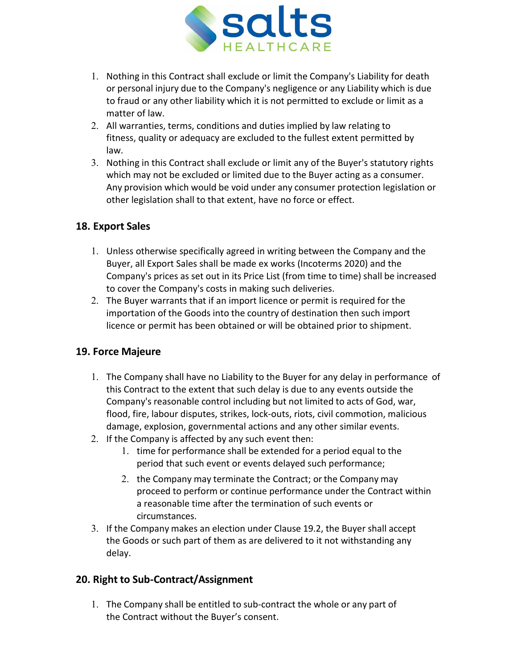

- 1. Nothing in this Contract shall exclude or limit the Company's Liability for death or personal injury due to the Company's negligence or any Liability which is due to fraud or any other liability which it is not permitted to exclude or limit as a matter of law.
- 2. All warranties, terms, conditions and duties implied by law relating to fitness, quality or adequacy are excluded to the fullest extent permitted by law.
- 3. Nothing in this Contract shall exclude or limit any of the Buyer's statutory rights which may not be excluded or limited due to the Buyer acting as a consumer. Any provision which would be void under any consumer protection legislation or other legislation shall to that extent, have no force or effect.

## **18. Export Sales**

- 1. Unless otherwise specifically agreed in writing between the Company and the Buyer, all Export Sales shall be made ex works (Incoterms 2020) and the Company's prices as set out in its Price List (from time to time) shall be increased to cover the Company's costs in making such deliveries.
- 2. The Buyer warrants that if an import licence or permit is required for the importation of the Goods into the country of destination then such import licence or permit has been obtained or will be obtained prior to shipment.

### **19. Force Majeure**

- 1. The Company shall have no Liability to the Buyer for any delay in performance of this Contract to the extent that such delay is due to any events outside the Company's reasonable control including but not limited to acts of God, war, flood, fire, labour disputes, strikes, lock-outs, riots, civil commotion, malicious damage, explosion, governmental actions and any other similar events.
- 2. If the Company is affected by any such event then:
	- 1. time for performance shall be extended for a period equal to the period that such event or events delayed such performance;
	- 2. the Company may terminate the Contract; or the Company may proceed to perform or continue performance under the Contract within a reasonable time after the termination of such events or circumstances.
- 3. If the Company makes an election under Clause 19.2, the Buyer shall accept the Goods or such part of them as are delivered to it not withstanding any delay.

### **20. Right to Sub-Contract/Assignment**

1. The Company shall be entitled to sub-contract the whole or any part of the Contract without the Buyer's consent.